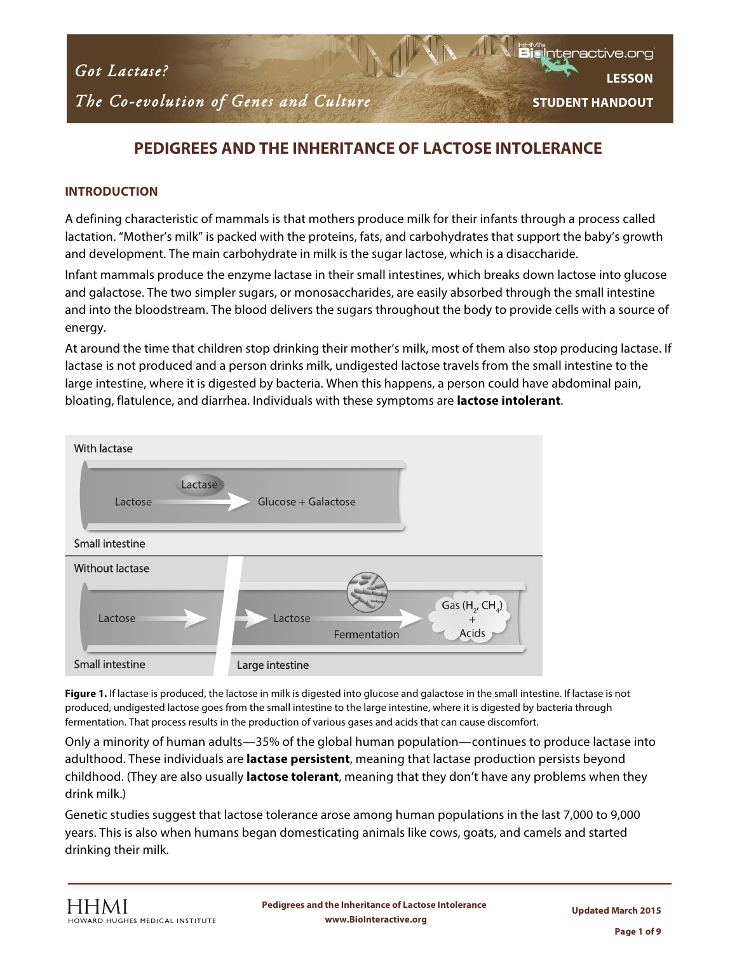

*The Co-evolution of Genes and Culture* 

*Natural Selection Contraction* 

**LESSON STUDENT HANDOUT**

Interactive.or

### **PEDIGREES AND THE INHERITANCE OF LACTOSE INTOLERANCE**

#### **INTRODUCTION**

A defining characteristic of mammals is that mothers produce milk for their infants through a process called lactation. "Mother's milk" is packed with the proteins, fats, and carbohydrates that support the baby's growth and development. The main carbohydrate in milk is the sugar lactose, which is a disaccharide.

Infant mammals produce the enzyme lactase in their small intestines, which breaks down lactose into glucose and galactose. The two simpler sugars, or monosaccharides, are easily absorbed through the small intestine and into the bloodstream. The blood delivers the sugars throughout the body to provide cells with a source of energy.

At around the time that children stop drinking their mother's milk, most of them also stop producing lactase. If lactase is not produced and a person drinks milk, undigested lactose travels from the small intestine to the large intestine, where it is digested by bacteria. When this happens, a person could have abdominal pain, bloating, flatulence, and diarrhea. Individuals with these symptoms are **lactose intolerant**.



**Figure 1.** If lactase is produced, the lactose in milk is digested into glucose and galactose in the small intestine. If lactase is not produced, undigested lactose goes from the small intestine to the large intestine, where it is digested by bacteria through fermentation. That process results in the production of various gases and acids that can cause discomfort.

Only a minority of human adults—35% of the global human population—continues to produce lactase into adulthood. These individuals are **lactase persistent**, meaning that lactase production persists beyond childhood. (They are also usually **lactose tolerant**, meaning that they don't have any problems when they drink milk.)

Genetic studies suggest that lactose tolerance arose among human populations in the last 7,000 to 9,000 years. This is also when humans began domesticating animals like cows, goats, and camels and started drinking their milk.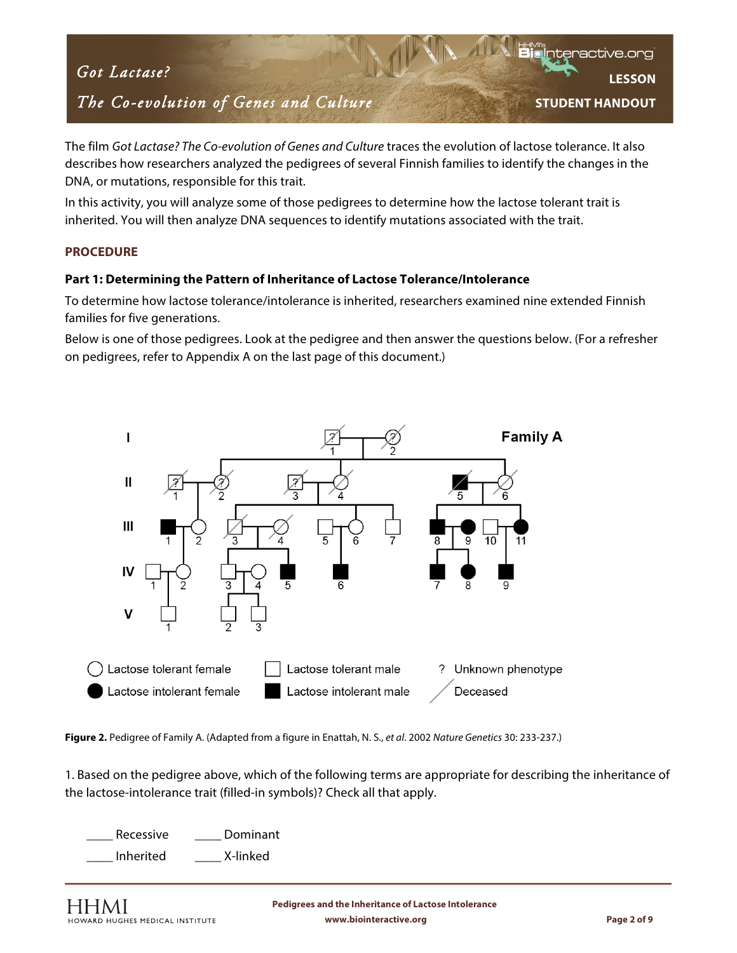# *The Co-evolution of Genes and Culture*

**LESSON STUDENT HANDOUT**

The film *Got Lactase? The Co-evolution of Genes and Culture* traces the evolution of lactose tolerance. It also describes how researchers analyzed the pedigrees of several Finnish families to identify the changes in the DNA, or mutations, responsible for this trait.

In this activity, you will analyze some of those pedigrees to determine how the lactose tolerant trait is inherited. You will then analyze DNA sequences to identify mutations associated with the trait.

#### **PROCEDURE**

#### **Part 1: Determining the Pattern of Inheritance of Lactose Tolerance/Intolerance**

To determine how lactose tolerance/intolerance is inherited, researchers examined nine extended Finnish families for five generations.

Below is one of those pedigrees. Look at the pedigree and then answer the questions below. (For a refresher on pedigrees, refer to Appendix A on the last page of this document.)



**Figure 2.** Pedigree of Family A. (Adapted from a figure in Enattah, N. S., *et al*. 2002 *Nature Genetics* 30: 233-237.)

1. Based on the pedigree above, which of the following terms are appropriate for describing the inheritance of the lactose-intolerance trait (filled-in symbols)? Check all that apply.

Recessive Dominant \_\_\_\_ Inherited \_\_\_\_ X-linked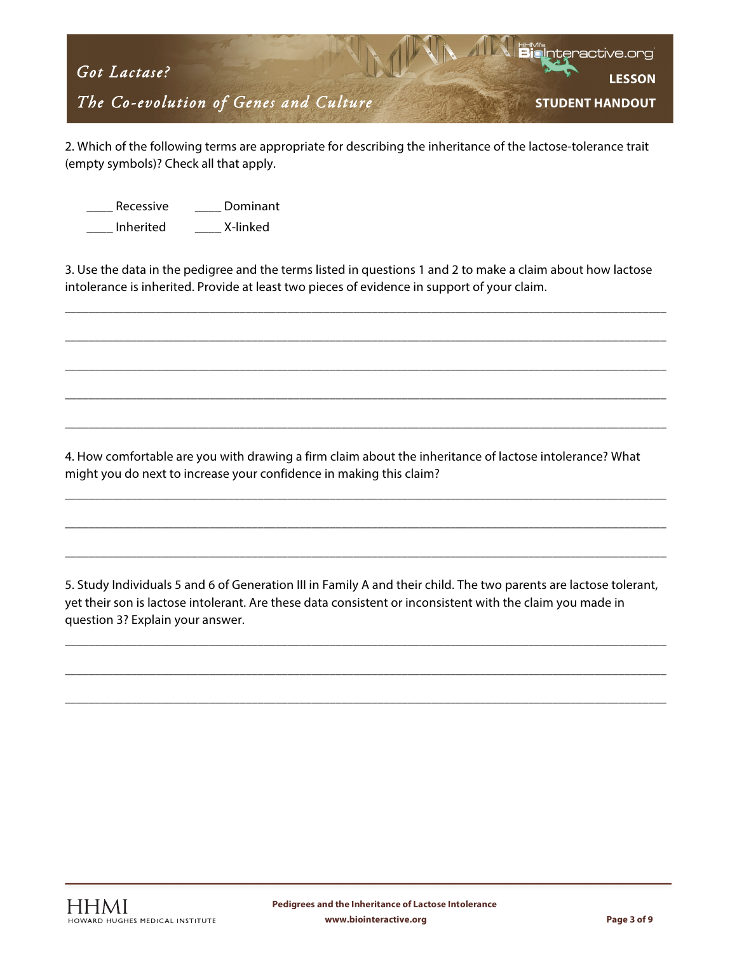

2. Which of the following terms are appropriate for describing the inheritance of the lactose-tolerance trait (empty symbols)? Check all that apply.

Recessive **Dominant** 

\_\_\_\_ Inherited \_\_\_\_ X-linked

3. Use the data in the pedigree and the terms listed in questions 1 and 2 to make a claim about how lactose intolerance is inherited. Provide at least two pieces of evidence in support of your claim.

\_\_\_\_\_\_\_\_\_\_\_\_\_\_\_\_\_\_\_\_\_\_\_\_\_\_\_\_\_\_\_\_\_\_\_\_\_\_\_\_\_\_\_\_\_\_\_\_\_\_\_\_\_\_\_\_\_\_\_\_\_\_\_\_\_\_\_\_\_\_\_\_\_\_\_\_\_\_\_\_\_\_\_\_\_\_\_\_\_\_\_\_\_\_\_\_\_\_\_\_

\_\_\_\_\_\_\_\_\_\_\_\_\_\_\_\_\_\_\_\_\_\_\_\_\_\_\_\_\_\_\_\_\_\_\_\_\_\_\_\_\_\_\_\_\_\_\_\_\_\_\_\_\_\_\_\_\_\_\_\_\_\_\_\_\_\_\_\_\_\_\_\_\_\_\_\_\_\_\_\_\_\_\_\_\_\_\_\_\_\_\_\_\_\_\_\_\_\_\_\_

\_\_\_\_\_\_\_\_\_\_\_\_\_\_\_\_\_\_\_\_\_\_\_\_\_\_\_\_\_\_\_\_\_\_\_\_\_\_\_\_\_\_\_\_\_\_\_\_\_\_\_\_\_\_\_\_\_\_\_\_\_\_\_\_\_\_\_\_\_\_\_\_\_\_\_\_\_\_\_\_\_\_\_\_\_\_\_\_\_\_\_\_\_\_\_\_\_\_\_\_

\_\_\_\_\_\_\_\_\_\_\_\_\_\_\_\_\_\_\_\_\_\_\_\_\_\_\_\_\_\_\_\_\_\_\_\_\_\_\_\_\_\_\_\_\_\_\_\_\_\_\_\_\_\_\_\_\_\_\_\_\_\_\_\_\_\_\_\_\_\_\_\_\_\_\_\_\_\_\_\_\_\_\_\_\_\_\_\_\_\_\_\_\_\_\_\_\_\_\_\_

\_\_\_\_\_\_\_\_\_\_\_\_\_\_\_\_\_\_\_\_\_\_\_\_\_\_\_\_\_\_\_\_\_\_\_\_\_\_\_\_\_\_\_\_\_\_\_\_\_\_\_\_\_\_\_\_\_\_\_\_\_\_\_\_\_\_\_\_\_\_\_\_\_\_\_\_\_\_\_\_\_\_\_\_\_\_\_\_\_\_\_\_\_\_\_\_\_\_\_\_

\_\_\_\_\_\_\_\_\_\_\_\_\_\_\_\_\_\_\_\_\_\_\_\_\_\_\_\_\_\_\_\_\_\_\_\_\_\_\_\_\_\_\_\_\_\_\_\_\_\_\_\_\_\_\_\_\_\_\_\_\_\_\_\_\_\_\_\_\_\_\_\_\_\_\_\_\_\_\_\_\_\_\_\_\_\_\_\_\_\_\_\_\_\_\_\_\_\_\_\_

\_\_\_\_\_\_\_\_\_\_\_\_\_\_\_\_\_\_\_\_\_\_\_\_\_\_\_\_\_\_\_\_\_\_\_\_\_\_\_\_\_\_\_\_\_\_\_\_\_\_\_\_\_\_\_\_\_\_\_\_\_\_\_\_\_\_\_\_\_\_\_\_\_\_\_\_\_\_\_\_\_\_\_\_\_\_\_\_\_\_\_\_\_\_\_\_\_\_\_\_

\_\_\_\_\_\_\_\_\_\_\_\_\_\_\_\_\_\_\_\_\_\_\_\_\_\_\_\_\_\_\_\_\_\_\_\_\_\_\_\_\_\_\_\_\_\_\_\_\_\_\_\_\_\_\_\_\_\_\_\_\_\_\_\_\_\_\_\_\_\_\_\_\_\_\_\_\_\_\_\_\_\_\_\_\_\_\_\_\_\_\_\_\_\_\_\_\_\_\_\_

4. How comfortable are you with drawing a firm claim about the inheritance of lactose intolerance? What might you do next to increase your confidence in making this claim?

5. Study Individuals 5 and 6 of Generation III in Family A and their child. The two parents are lactose tolerant, yet their son is lactose intolerant. Are these data consistent or inconsistent with the claim you made in question 3? Explain your answer.

\_\_\_\_\_\_\_\_\_\_\_\_\_\_\_\_\_\_\_\_\_\_\_\_\_\_\_\_\_\_\_\_\_\_\_\_\_\_\_\_\_\_\_\_\_\_\_\_\_\_\_\_\_\_\_\_\_\_\_\_\_\_\_\_\_\_\_\_\_\_\_\_\_\_\_\_\_\_\_\_\_\_\_\_\_\_\_\_\_\_\_\_\_\_\_\_\_\_\_\_

\_\_\_\_\_\_\_\_\_\_\_\_\_\_\_\_\_\_\_\_\_\_\_\_\_\_\_\_\_\_\_\_\_\_\_\_\_\_\_\_\_\_\_\_\_\_\_\_\_\_\_\_\_\_\_\_\_\_\_\_\_\_\_\_\_\_\_\_\_\_\_\_\_\_\_\_\_\_\_\_\_\_\_\_\_\_\_\_\_\_\_\_\_\_\_\_\_\_\_\_

\_\_\_\_\_\_\_\_\_\_\_\_\_\_\_\_\_\_\_\_\_\_\_\_\_\_\_\_\_\_\_\_\_\_\_\_\_\_\_\_\_\_\_\_\_\_\_\_\_\_\_\_\_\_\_\_\_\_\_\_\_\_\_\_\_\_\_\_\_\_\_\_\_\_\_\_\_\_\_\_\_\_\_\_\_\_\_\_\_\_\_\_\_\_\_\_\_\_\_\_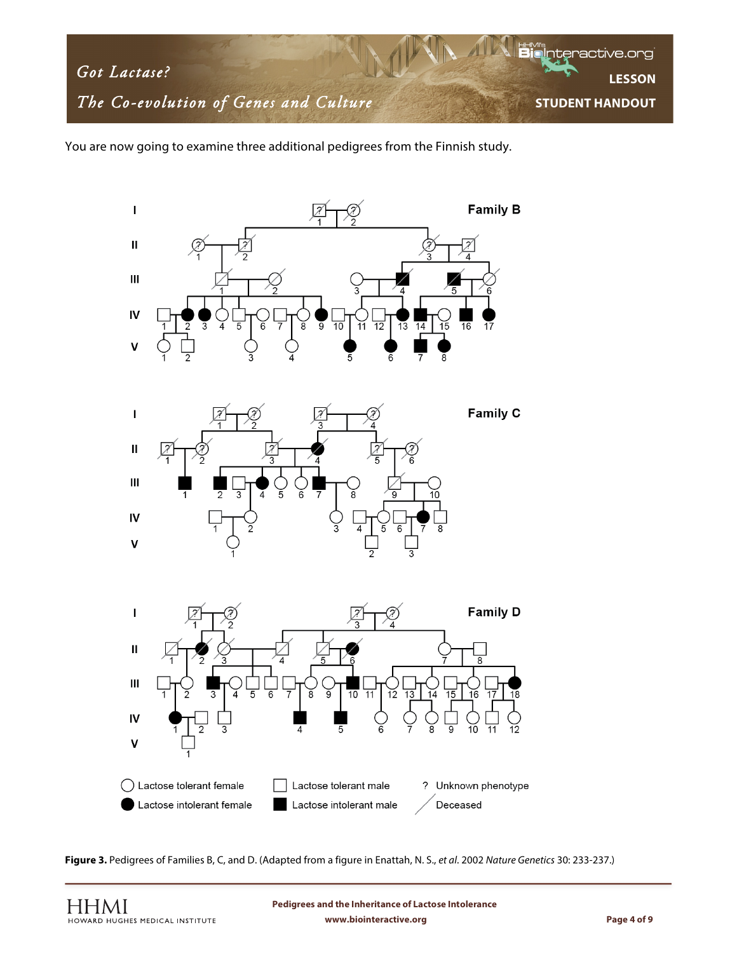

You are now going to examine three additional pedigrees from the Finnish study.







**Figure 3.** Pedigrees of Families B, C, and D. (Adapted from a figure in Enattah, N. S., *et al*. 2002 *Nature Genetics* 30: 233-237.)

**www.biointeractive.org Page 4 of 9 Pedigrees and the Inheritance of Lactose Intolerance**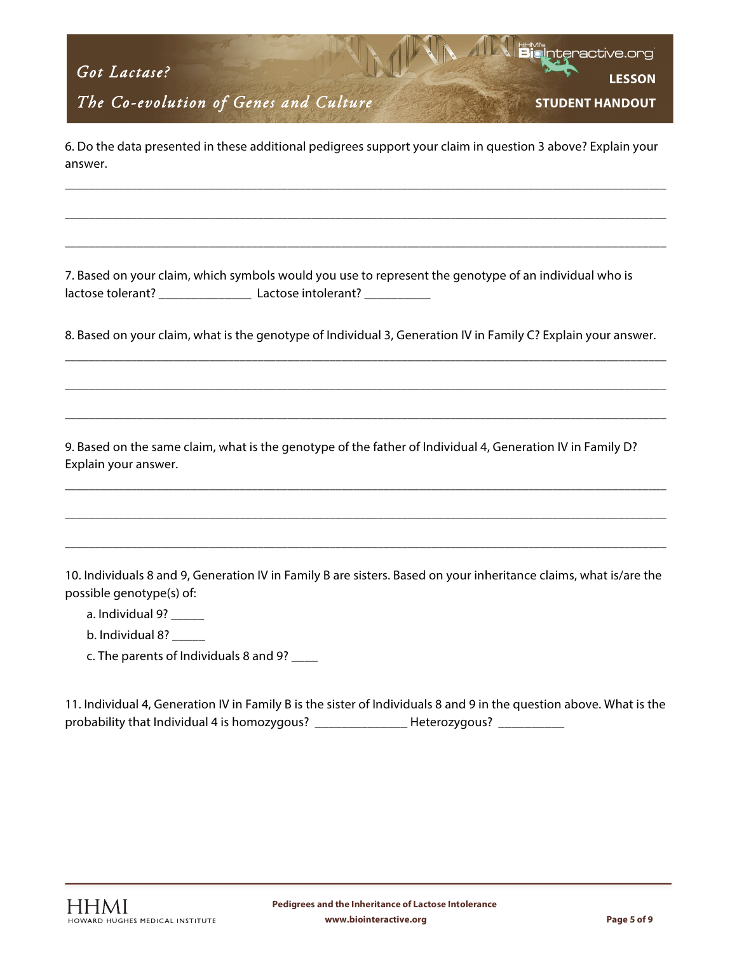*The Co-evolution of Genes and Culture* 

**LESSON STUDENT HANDOUT**

nteractive.or

6. Do the data presented in these additional pedigrees support your claim in question 3 above? Explain your answer.

\_\_\_\_\_\_\_\_\_\_\_\_\_\_\_\_\_\_\_\_\_\_\_\_\_\_\_\_\_\_\_\_\_\_\_\_\_\_\_\_\_\_\_\_\_\_\_\_\_\_\_\_\_\_\_\_\_\_\_\_\_\_\_\_\_\_\_\_\_\_\_\_\_\_\_\_\_\_\_\_\_\_\_\_\_\_\_\_\_\_\_\_\_\_\_\_\_\_\_\_

\_\_\_\_\_\_\_\_\_\_\_\_\_\_\_\_\_\_\_\_\_\_\_\_\_\_\_\_\_\_\_\_\_\_\_\_\_\_\_\_\_\_\_\_\_\_\_\_\_\_\_\_\_\_\_\_\_\_\_\_\_\_\_\_\_\_\_\_\_\_\_\_\_\_\_\_\_\_\_\_\_\_\_\_\_\_\_\_\_\_\_\_\_\_\_\_\_\_\_\_

\_\_\_\_\_\_\_\_\_\_\_\_\_\_\_\_\_\_\_\_\_\_\_\_\_\_\_\_\_\_\_\_\_\_\_\_\_\_\_\_\_\_\_\_\_\_\_\_\_\_\_\_\_\_\_\_\_\_\_\_\_\_\_\_\_\_\_\_\_\_\_\_\_\_\_\_\_\_\_\_\_\_\_\_\_\_\_\_\_\_\_\_\_\_\_\_\_\_\_\_

7. Based on your claim, which symbols would you use to represent the genotype of an individual who is lactose tolerant? \_\_\_\_\_\_\_\_\_\_\_\_\_\_\_\_\_\_\_\_\_\_ Lactose intolerant? \_\_\_\_\_\_\_\_\_\_\_\_\_\_\_\_\_\_\_

8. Based on your claim, what is the genotype of Individual 3, Generation IV in Family C? Explain your answer.

\_\_\_\_\_\_\_\_\_\_\_\_\_\_\_\_\_\_\_\_\_\_\_\_\_\_\_\_\_\_\_\_\_\_\_\_\_\_\_\_\_\_\_\_\_\_\_\_\_\_\_\_\_\_\_\_\_\_\_\_\_\_\_\_\_\_\_\_\_\_\_\_\_\_\_\_\_\_\_\_\_\_\_\_\_\_\_\_\_\_\_\_\_\_\_\_\_\_\_\_

\_\_\_\_\_\_\_\_\_\_\_\_\_\_\_\_\_\_\_\_\_\_\_\_\_\_\_\_\_\_\_\_\_\_\_\_\_\_\_\_\_\_\_\_\_\_\_\_\_\_\_\_\_\_\_\_\_\_\_\_\_\_\_\_\_\_\_\_\_\_\_\_\_\_\_\_\_\_\_\_\_\_\_\_\_\_\_\_\_\_\_\_\_\_\_\_\_\_\_\_

\_\_\_\_\_\_\_\_\_\_\_\_\_\_\_\_\_\_\_\_\_\_\_\_\_\_\_\_\_\_\_\_\_\_\_\_\_\_\_\_\_\_\_\_\_\_\_\_\_\_\_\_\_\_\_\_\_\_\_\_\_\_\_\_\_\_\_\_\_\_\_\_\_\_\_\_\_\_\_\_\_\_\_\_\_\_\_\_\_\_\_\_\_\_\_\_\_\_\_\_

\_\_\_\_\_\_\_\_\_\_\_\_\_\_\_\_\_\_\_\_\_\_\_\_\_\_\_\_\_\_\_\_\_\_\_\_\_\_\_\_\_\_\_\_\_\_\_\_\_\_\_\_\_\_\_\_\_\_\_\_\_\_\_\_\_\_\_\_\_\_\_\_\_\_\_\_\_\_\_\_\_\_\_\_\_\_\_\_\_\_\_\_\_\_\_\_\_\_\_\_

\_\_\_\_\_\_\_\_\_\_\_\_\_\_\_\_\_\_\_\_\_\_\_\_\_\_\_\_\_\_\_\_\_\_\_\_\_\_\_\_\_\_\_\_\_\_\_\_\_\_\_\_\_\_\_\_\_\_\_\_\_\_\_\_\_\_\_\_\_\_\_\_\_\_\_\_\_\_\_\_\_\_\_\_\_\_\_\_\_\_\_\_\_\_\_\_\_\_\_\_

\_\_\_\_\_\_\_\_\_\_\_\_\_\_\_\_\_\_\_\_\_\_\_\_\_\_\_\_\_\_\_\_\_\_\_\_\_\_\_\_\_\_\_\_\_\_\_\_\_\_\_\_\_\_\_\_\_\_\_\_\_\_\_\_\_\_\_\_\_\_\_\_\_\_\_\_\_\_\_\_\_\_\_\_\_\_\_\_\_\_\_\_\_\_\_\_\_\_\_\_

9. Based on the same claim, what is the genotype of the father of Individual 4, Generation IV in Family D? Explain your answer.

10. Individuals 8 and 9, Generation IV in Family B are sisters. Based on your inheritance claims, what is/are the possible genotype(s) of:

- a. Individual 9? \_\_\_\_\_\_
- b. Individual 8?
- c. The parents of Individuals 8 and 9? \_\_\_\_

11. Individual 4, Generation IV in Family B is the sister of Individuals 8 and 9 in the question above. What is the probability that Individual 4 is homozygous? \_\_\_\_\_\_\_\_\_\_\_\_\_\_\_\_\_Heterozygous? \_\_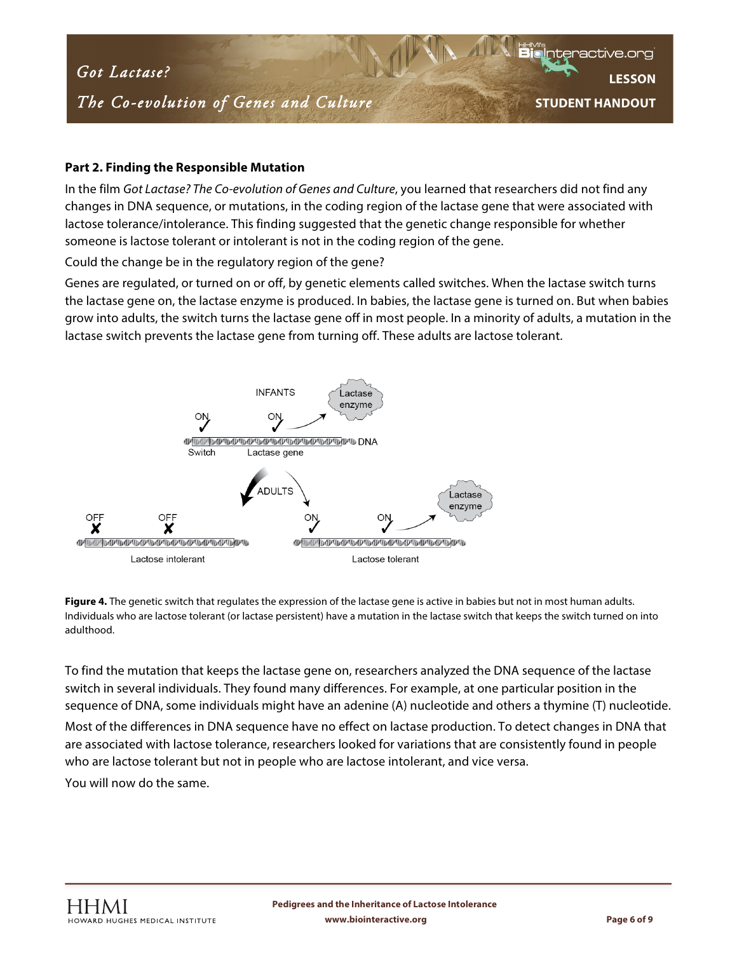### *The Co-evolution of Genes and Culture*

**LESSON STUDENT HANDOUT**

nteractive.or

#### **Part 2. Finding the Responsible Mutation**

In the film *Got Lactase? The Co-evolution of Genes and Culture*, you learned that researchers did not find any changes in DNA sequence, or mutations, in the coding region of the lactase gene that were associated with lactose tolerance/intolerance. This finding suggested that the genetic change responsible for whether someone is lactose tolerant or intolerant is not in the coding region of the gene.

Could the change be in the regulatory region of the gene?

Genes are regulated, or turned on or off, by genetic elements called switches. When the lactase switch turns the lactase gene on, the lactase enzyme is produced. In babies, the lactase gene is turned on. But when babies grow into adults, the switch turns the lactase gene off in most people. In a minority of adults, a mutation in the lactase switch prevents the lactase gene from turning off. These adults are lactose tolerant.



**Figure 4.** The genetic switch that regulates the expression of the lactase gene is active in babies but not in most human adults. Individuals who are lactose tolerant (or lactase persistent) have a mutation in the lactase switch that keeps the switch turned on into adulthood.

To find the mutation that keeps the lactase gene on, researchers analyzed the DNA sequence of the lactase switch in several individuals. They found many differences. For example, at one particular position in the sequence of DNA, some individuals might have an adenine (A) nucleotide and others a thymine (T) nucleotide. Most of the differences in DNA sequence have no effect on lactase production. To detect changes in DNA that are associated with lactose tolerance, researchers looked for variations that are consistently found in people

who are lactose tolerant but not in people who are lactose intolerant, and vice versa. You will now do the same.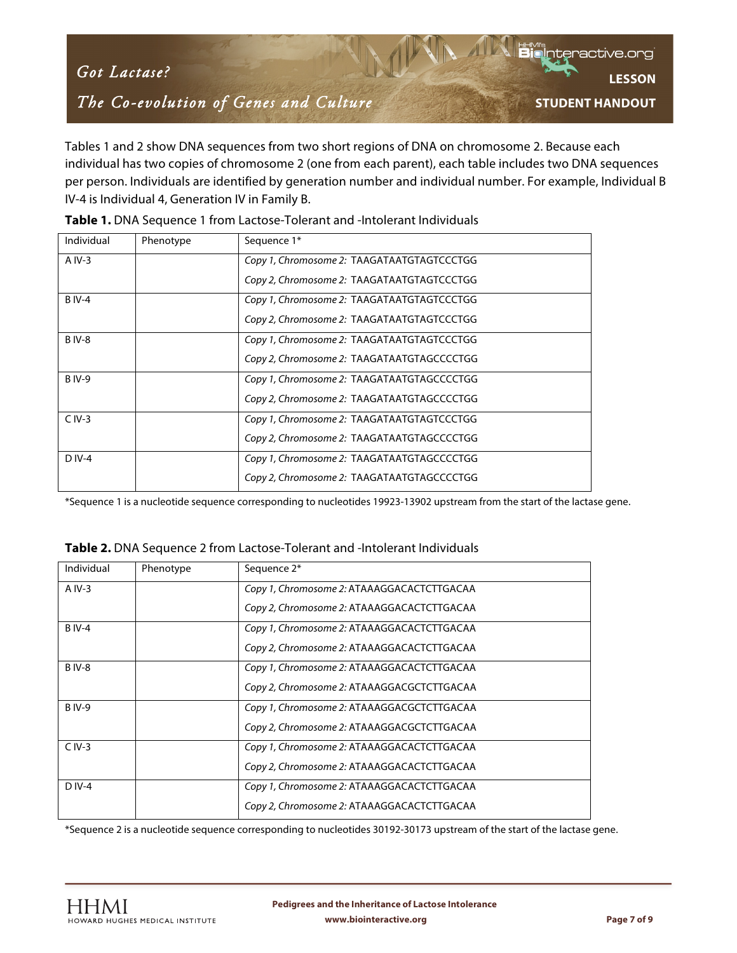# *Got Lactase? The Co-evolution of Genes and Culture*

**LESSON STUDENT HANDOUT**

Interactive.org

Tables 1 and 2 show DNA sequences from two short regions of DNA on chromosome 2. Because each individual has two copies of chromosome 2 (one from each parent), each table includes two DNA sequences per person. Individuals are identified by generation number and individual number. For example, Individual B IV-4 is Individual 4, Generation IV in Family B.

| Individual    | Phenotype | Sequence 1*                                |
|---------------|-----------|--------------------------------------------|
| $A IV-3$      |           | Copy 1, Chromosome 2: TAAGATAATGTAGTCCCTGG |
|               |           | Copy 2, Chromosome 2: TAAGATAATGTAGTCCCTGG |
| <b>B</b> IV-4 |           | Copy 1, Chromosome 2: TAAGATAATGTAGTCCCTGG |
|               |           | Copy 2, Chromosome 2: TAAGATAATGTAGTCCCTGG |
| <b>BIV-8</b>  |           | Copy 1, Chromosome 2: TAAGATAATGTAGTCCCTGG |
|               |           | Copy 2, Chromosome 2: TAAGATAATGTAGCCCCTGG |
| <b>BIV-9</b>  |           | Copy 1, Chromosome 2: TAAGATAATGTAGCCCCTGG |
|               |           | Copy 2, Chromosome 2: TAAGATAATGTAGCCCCTGG |
| $C IV-3$      |           | Copy 1, Chromosome 2: TAAGATAATGTAGTCCCTGG |
|               |           | Copy 2, Chromosome 2: TAAGATAATGTAGCCCCTGG |
| $D IV-4$      |           | Copy 1, Chromosome 2: TAAGATAATGTAGCCCCTGG |
|               |           | Copy 2, Chromosome 2: TAAGATAATGTAGCCCCTGG |

|  | Table 1. DNA Sequence 1 from Lactose-Tolerant and -Intolerant Individuals |  |
|--|---------------------------------------------------------------------------|--|
|--|---------------------------------------------------------------------------|--|

\*Sequence 1 is a nucleotide sequence corresponding to nucleotides 19923-13902 upstream from the start of the lactase gene.

| Individual    | Phenotype | Sequence 2*                                |
|---------------|-----------|--------------------------------------------|
| $A IV-3$      |           | Copy 1, Chromosome 2: ATAAAGGACACTCTTGACAA |
|               |           | Copy 2, Chromosome 2: ATAAAGGACACTCTTGACAA |
| <b>BIV-4</b>  |           | Copy 1, Chromosome 2: ATAAAGGACACTCTTGACAA |
|               |           | Copy 2, Chromosome 2: ATAAAGGACACTCTTGACAA |
| <b>BIV-8</b>  |           | Copy 1, Chromosome 2: ATAAAGGACACTCTTGACAA |
|               |           | Copy 2, Chromosome 2: ATAAAGGACGCTCTTGACAA |
| <b>B</b> IV-9 |           | Copy 1, Chromosome 2: ATAAAGGACGCTCTTGACAA |
|               |           | Copy 2, Chromosome 2: ATAAAGGACGCTCTTGACAA |
| $C IV-3$      |           | Copy 1, Chromosome 2: ATAAAGGACACTCTTGACAA |
|               |           | Copy 2, Chromosome 2: ATAAAGGACACTCTTGACAA |
| $D IV-4$      |           | Copy 1, Chromosome 2: ATAAAGGACACTCTTGACAA |
|               |           | Copy 2, Chromosome 2: ATAAAGGACACTCTTGACAA |

**Table 2.** DNA Sequence 2 from Lactose-Tolerant and -Intolerant Individuals

\*Sequence 2 is a nucleotide sequence corresponding to nucleotides 30192-30173 upstream of the start of the lactase gene.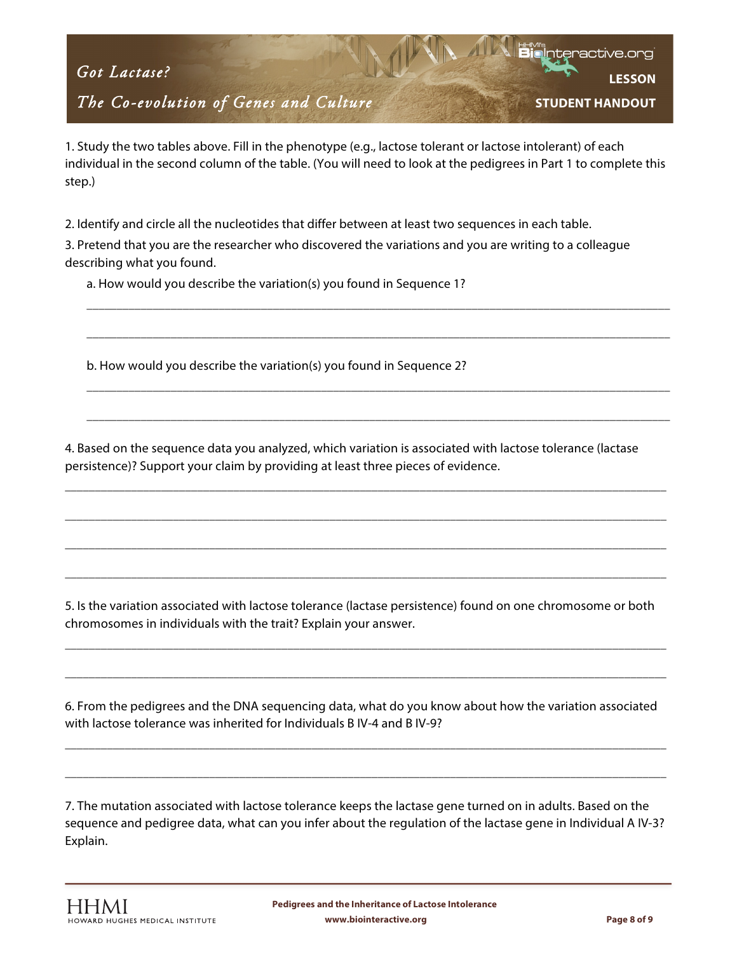## *The Co-evolution of Genes and Culture*

**LESSON STUDENT HANDOUT**

nteractive.or

1. Study the two tables above. Fill in the phenotype (e.g., lactose tolerant or lactose intolerant) of each individual in the second column of the table. (You will need to look at the pedigrees in Part 1 to complete this step.)

2. Identify and circle all the nucleotides that differ between at least two sequences in each table.

3. Pretend that you are the researcher who discovered the variations and you are writing to a colleague describing what you found.

\_\_\_\_\_\_\_\_\_\_\_\_\_\_\_\_\_\_\_\_\_\_\_\_\_\_\_\_\_\_\_\_\_\_\_\_\_\_\_\_\_\_\_\_\_\_\_\_\_\_\_\_\_\_\_\_\_\_\_\_\_\_\_\_\_\_\_\_\_\_\_\_\_\_\_\_\_\_\_\_\_\_\_\_\_\_\_\_\_\_\_\_\_\_\_\_\_

\_\_\_\_\_\_\_\_\_\_\_\_\_\_\_\_\_\_\_\_\_\_\_\_\_\_\_\_\_\_\_\_\_\_\_\_\_\_\_\_\_\_\_\_\_\_\_\_\_\_\_\_\_\_\_\_\_\_\_\_\_\_\_\_\_\_\_\_\_\_\_\_\_\_\_\_\_\_\_\_\_\_\_\_\_\_\_\_\_\_\_\_\_\_\_\_\_

\_\_\_\_\_\_\_\_\_\_\_\_\_\_\_\_\_\_\_\_\_\_\_\_\_\_\_\_\_\_\_\_\_\_\_\_\_\_\_\_\_\_\_\_\_\_\_\_\_\_\_\_\_\_\_\_\_\_\_\_\_\_\_\_\_\_\_\_\_\_\_\_\_\_\_\_\_\_\_\_\_\_\_\_\_\_\_\_\_\_\_\_\_\_\_\_\_

\_\_\_\_\_\_\_\_\_\_\_\_\_\_\_\_\_\_\_\_\_\_\_\_\_\_\_\_\_\_\_\_\_\_\_\_\_\_\_\_\_\_\_\_\_\_\_\_\_\_\_\_\_\_\_\_\_\_\_\_\_\_\_\_\_\_\_\_\_\_\_\_\_\_\_\_\_\_\_\_\_\_\_\_\_\_\_\_\_\_\_\_\_\_\_\_\_

a. How would you describe the variation(s) you found in Sequence 1?

b. How would you describe the variation(s) you found in Sequence 2?

4. Based on the sequence data you analyzed, which variation is associated with lactose tolerance (lactase persistence)? Support your claim by providing at least three pieces of evidence.

\_\_\_\_\_\_\_\_\_\_\_\_\_\_\_\_\_\_\_\_\_\_\_\_\_\_\_\_\_\_\_\_\_\_\_\_\_\_\_\_\_\_\_\_\_\_\_\_\_\_\_\_\_\_\_\_\_\_\_\_\_\_\_\_\_\_\_\_\_\_\_\_\_\_\_\_\_\_\_\_\_\_\_\_\_\_\_\_\_\_\_\_\_\_\_\_\_\_\_\_

\_\_\_\_\_\_\_\_\_\_\_\_\_\_\_\_\_\_\_\_\_\_\_\_\_\_\_\_\_\_\_\_\_\_\_\_\_\_\_\_\_\_\_\_\_\_\_\_\_\_\_\_\_\_\_\_\_\_\_\_\_\_\_\_\_\_\_\_\_\_\_\_\_\_\_\_\_\_\_\_\_\_\_\_\_\_\_\_\_\_\_\_\_\_\_\_\_\_\_\_

\_\_\_\_\_\_\_\_\_\_\_\_\_\_\_\_\_\_\_\_\_\_\_\_\_\_\_\_\_\_\_\_\_\_\_\_\_\_\_\_\_\_\_\_\_\_\_\_\_\_\_\_\_\_\_\_\_\_\_\_\_\_\_\_\_\_\_\_\_\_\_\_\_\_\_\_\_\_\_\_\_\_\_\_\_\_\_\_\_\_\_\_\_\_\_\_\_\_\_\_

\_\_\_\_\_\_\_\_\_\_\_\_\_\_\_\_\_\_\_\_\_\_\_\_\_\_\_\_\_\_\_\_\_\_\_\_\_\_\_\_\_\_\_\_\_\_\_\_\_\_\_\_\_\_\_\_\_\_\_\_\_\_\_\_\_\_\_\_\_\_\_\_\_\_\_\_\_\_\_\_\_\_\_\_\_\_\_\_\_\_\_\_\_\_\_\_\_\_\_\_

5. Is the variation associated with lactose tolerance (lactase persistence) found on one chromosome or both chromosomes in individuals with the trait? Explain your answer.

\_\_\_\_\_\_\_\_\_\_\_\_\_\_\_\_\_\_\_\_\_\_\_\_\_\_\_\_\_\_\_\_\_\_\_\_\_\_\_\_\_\_\_\_\_\_\_\_\_\_\_\_\_\_\_\_\_\_\_\_\_\_\_\_\_\_\_\_\_\_\_\_\_\_\_\_\_\_\_\_\_\_\_\_\_\_\_\_\_\_\_\_\_\_\_\_\_\_\_\_

\_\_\_\_\_\_\_\_\_\_\_\_\_\_\_\_\_\_\_\_\_\_\_\_\_\_\_\_\_\_\_\_\_\_\_\_\_\_\_\_\_\_\_\_\_\_\_\_\_\_\_\_\_\_\_\_\_\_\_\_\_\_\_\_\_\_\_\_\_\_\_\_\_\_\_\_\_\_\_\_\_\_\_\_\_\_\_\_\_\_\_\_\_\_\_\_\_\_\_\_

6. From the pedigrees and the DNA sequencing data, what do you know about how the variation associated with lactose tolerance was inherited for Individuals B IV-4 and B IV-9?

\_\_\_\_\_\_\_\_\_\_\_\_\_\_\_\_\_\_\_\_\_\_\_\_\_\_\_\_\_\_\_\_\_\_\_\_\_\_\_\_\_\_\_\_\_\_\_\_\_\_\_\_\_\_\_\_\_\_\_\_\_\_\_\_\_\_\_\_\_\_\_\_\_\_\_\_\_\_\_\_\_\_\_\_\_\_\_\_\_\_\_\_\_\_\_\_\_\_\_\_

\_\_\_\_\_\_\_\_\_\_\_\_\_\_\_\_\_\_\_\_\_\_\_\_\_\_\_\_\_\_\_\_\_\_\_\_\_\_\_\_\_\_\_\_\_\_\_\_\_\_\_\_\_\_\_\_\_\_\_\_\_\_\_\_\_\_\_\_\_\_\_\_\_\_\_\_\_\_\_\_\_\_\_\_\_\_\_\_\_\_\_\_\_\_\_\_\_\_\_\_

7. The mutation associated with lactose tolerance keeps the lactase gene turned on in adults. Based on the sequence and pedigree data, what can you infer about the regulation of the lactase gene in Individual A IV-3? Explain.